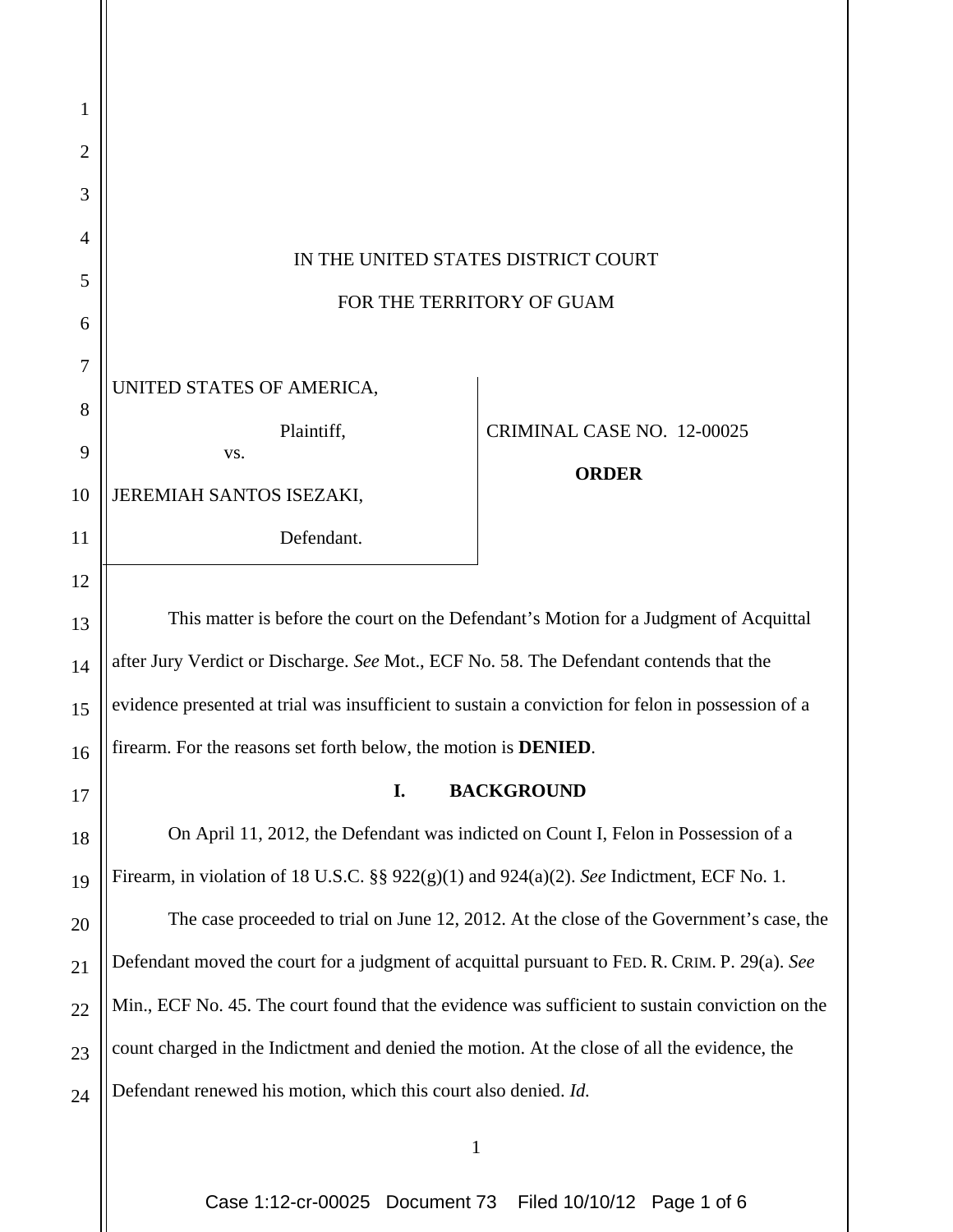| 1  |                                                                                                   |                            |
|----|---------------------------------------------------------------------------------------------------|----------------------------|
| 2  |                                                                                                   |                            |
| 3  |                                                                                                   |                            |
| 4  | IN THE UNITED STATES DISTRICT COURT<br>FOR THE TERRITORY OF GUAM                                  |                            |
| 5  |                                                                                                   |                            |
| 6  |                                                                                                   |                            |
| 7  | UNITED STATES OF AMERICA,                                                                         |                            |
| 8  |                                                                                                   |                            |
| 9  | Plaintiff,<br>VS.                                                                                 | CRIMINAL CASE NO. 12-00025 |
| 10 | JEREMIAH SANTOS ISEZAKI,                                                                          | <b>ORDER</b>               |
| 11 | Defendant.                                                                                        |                            |
| 12 |                                                                                                   |                            |
| 13 | This matter is before the court on the Defendant's Motion for a Judgment of Acquittal             |                            |
| 14 | after Jury Verdict or Discharge. See Mot., ECF No. 58. The Defendant contends that the            |                            |
| 15 | evidence presented at trial was insufficient to sustain a conviction for felon in possession of a |                            |
| 16 | firearm. For the reasons set forth below, the motion is <b>DENIED</b> .                           |                            |
| 17 | I.<br><b>BACKGROUND</b>                                                                           |                            |
| 18 | On April 11, 2012, the Defendant was indicted on Count I, Felon in Possession of a                |                            |
| 19 | Firearm, in violation of 18 U.S.C. §§ $922(g)(1)$ and $924(a)(2)$ . See Indictment, ECF No. 1.    |                            |
| 20 | The case proceeded to trial on June 12, 2012. At the close of the Government's case, the          |                            |
| 21 | Defendant moved the court for a judgment of acquittal pursuant to FED. R. CRIM. P. 29(a). See     |                            |
| 22 | Min., ECF No. 45. The court found that the evidence was sufficient to sustain conviction on the   |                            |
| 23 | count charged in the Indictment and denied the motion. At the close of all the evidence, the      |                            |
| 24 | Defendant renewed his motion, which this court also denied. Id.                                   |                            |
|    | 1                                                                                                 |                            |

Case 1:12-cr-00025 Document 73 Filed 10/10/12 Page 1 of 6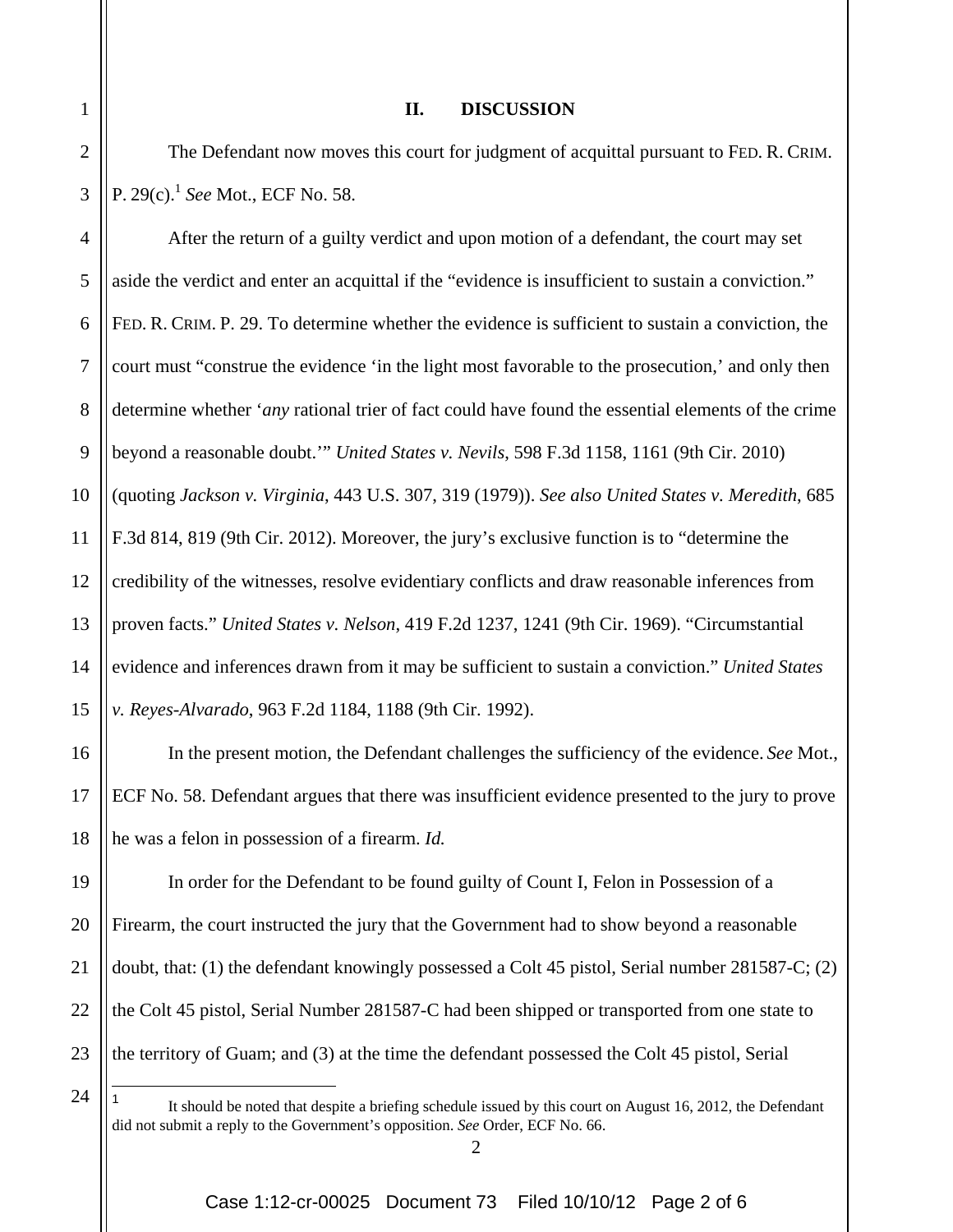## **II. DISCUSSION**

2 3 The Defendant now moves this court for judgment of acquittal pursuant to FED. R. CRIM. P. 29(c).1 *See* Mot., ECF No. 58.

4 5 6 7 8 9 10 11 12 13 14 15 After the return of a guilty verdict and upon motion of a defendant, the court may set aside the verdict and enter an acquittal if the "evidence is insufficient to sustain a conviction." FED. R. CRIM. P. 29. To determine whether the evidence is sufficient to sustain a conviction, the court must "construe the evidence 'in the light most favorable to the prosecution,' and only then determine whether '*any* rational trier of fact could have found the essential elements of the crime beyond a reasonable doubt.'" *United States v. Nevils*, 598 F.3d 1158, 1161 (9th Cir. 2010) (quoting *Jackson v. Virginia*, 443 U.S. 307, 319 (1979)). *See also United States v. Meredith*, 685 F.3d 814, 819 (9th Cir. 2012). Moreover, the jury's exclusive function is to "determine the credibility of the witnesses, resolve evidentiary conflicts and draw reasonable inferences from proven facts." *United States v. Nelson*, 419 F.2d 1237, 1241 (9th Cir. 1969). "Circumstantial evidence and inferences drawn from it may be sufficient to sustain a conviction." *United States v. Reyes-Alvarado*, 963 F.2d 1184, 1188 (9th Cir. 1992).

16 18 In the present motion, the Defendant challenges the sufficiency of the evidence. *See* Mot., ECF No. 58. Defendant argues that there was insufficient evidence presented to the jury to prove he was a felon in possession of a firearm. *Id.* 

19 20 21 22 23 In order for the Defendant to be found guilty of Count I, Felon in Possession of a Firearm, the court instructed the jury that the Government had to show beyond a reasonable doubt, that: (1) the defendant knowingly possessed a Colt 45 pistol, Serial number 281587-C; (2) the Colt 45 pistol, Serial Number 281587-C had been shipped or transported from one state to the territory of Guam; and (3) at the time the defendant possessed the Colt 45 pistol, Serial

1

17

1

<sup>24</sup>

It should be noted that despite a briefing schedule issued by this court on August 16, 2012, the Defendant did not submit a reply to the Government's opposition. *See* Order, ECF No. 66.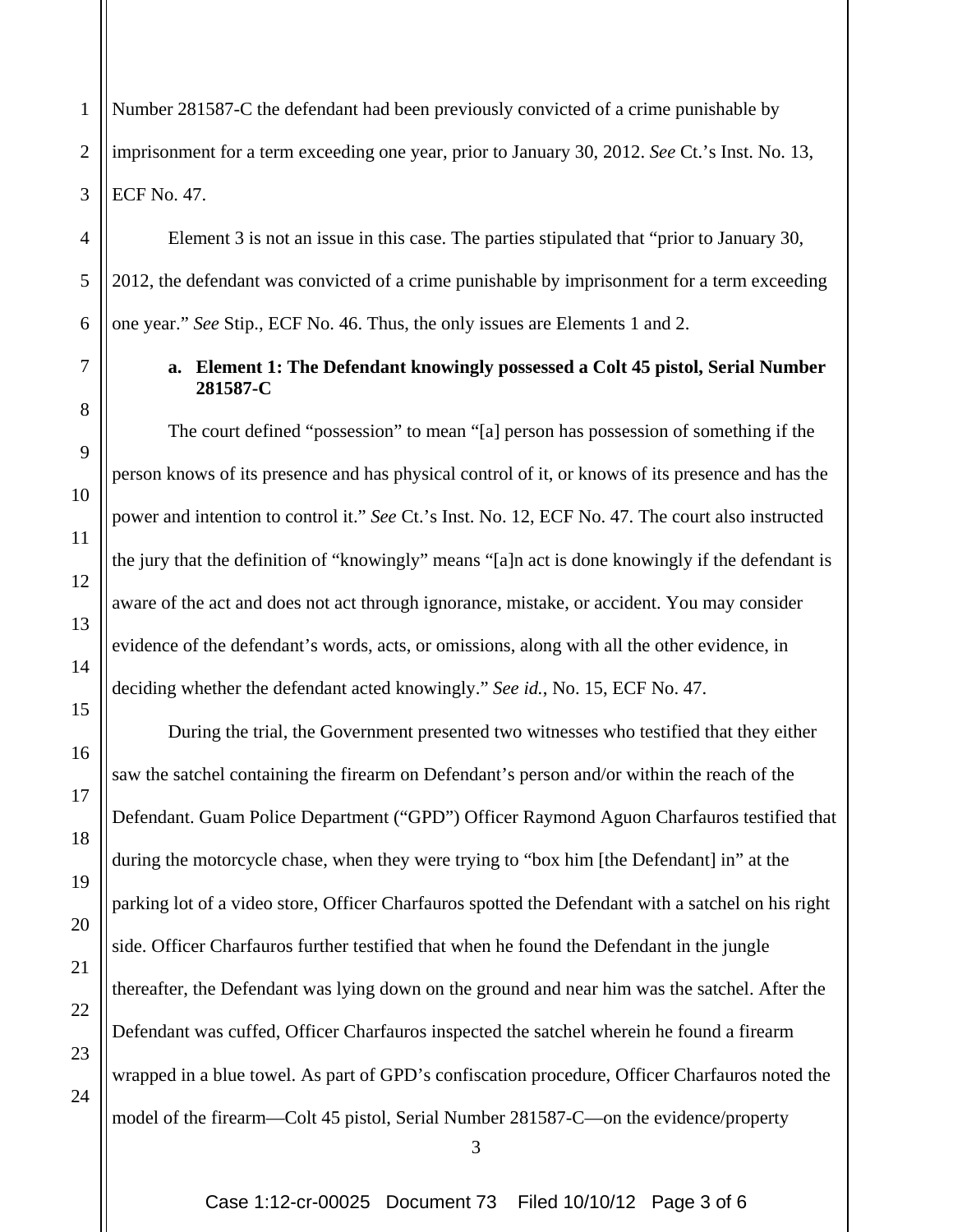1 2 3 Number 281587-C the defendant had been previously convicted of a crime punishable by imprisonment for a term exceeding one year, prior to January 30, 2012. *See* Ct.'s Inst. No. 13, ECF No. 47.

4

5

6

7

8

9

10

11

12

13

14

15

16

17

18

19

20

21

22

23

24

Element 3 is not an issue in this case. The parties stipulated that "prior to January 30, 2012, the defendant was convicted of a crime punishable by imprisonment for a term exceeding one year." *See* Stip., ECF No. 46. Thus, the only issues are Elements 1 and 2.

## **a. Element 1: The Defendant knowingly possessed a Colt 45 pistol, Serial Number 281587-C**

The court defined "possession" to mean "[a] person has possession of something if the person knows of its presence and has physical control of it, or knows of its presence and has the power and intention to control it." *See* Ct.'s Inst. No. 12, ECF No. 47. The court also instructed the jury that the definition of "knowingly" means "[a]n act is done knowingly if the defendant is aware of the act and does not act through ignorance, mistake, or accident. You may consider evidence of the defendant's words, acts, or omissions, along with all the other evidence, in deciding whether the defendant acted knowingly." *See id.*, No. 15, ECF No. 47.

During the trial, the Government presented two witnesses who testified that they either saw the satchel containing the firearm on Defendant's person and/or within the reach of the Defendant. Guam Police Department ("GPD") Officer Raymond Aguon Charfauros testified that during the motorcycle chase, when they were trying to "box him [the Defendant] in" at the parking lot of a video store, Officer Charfauros spotted the Defendant with a satchel on his right side. Officer Charfauros further testified that when he found the Defendant in the jungle thereafter, the Defendant was lying down on the ground and near him was the satchel. After the Defendant was cuffed, Officer Charfauros inspected the satchel wherein he found a firearm wrapped in a blue towel. As part of GPD's confiscation procedure, Officer Charfauros noted the model of the firearm—Colt 45 pistol, Serial Number 281587-C—on the evidence/property

3

Case 1:12-cr-00025 Document 73 Filed 10/10/12 Page 3 of 6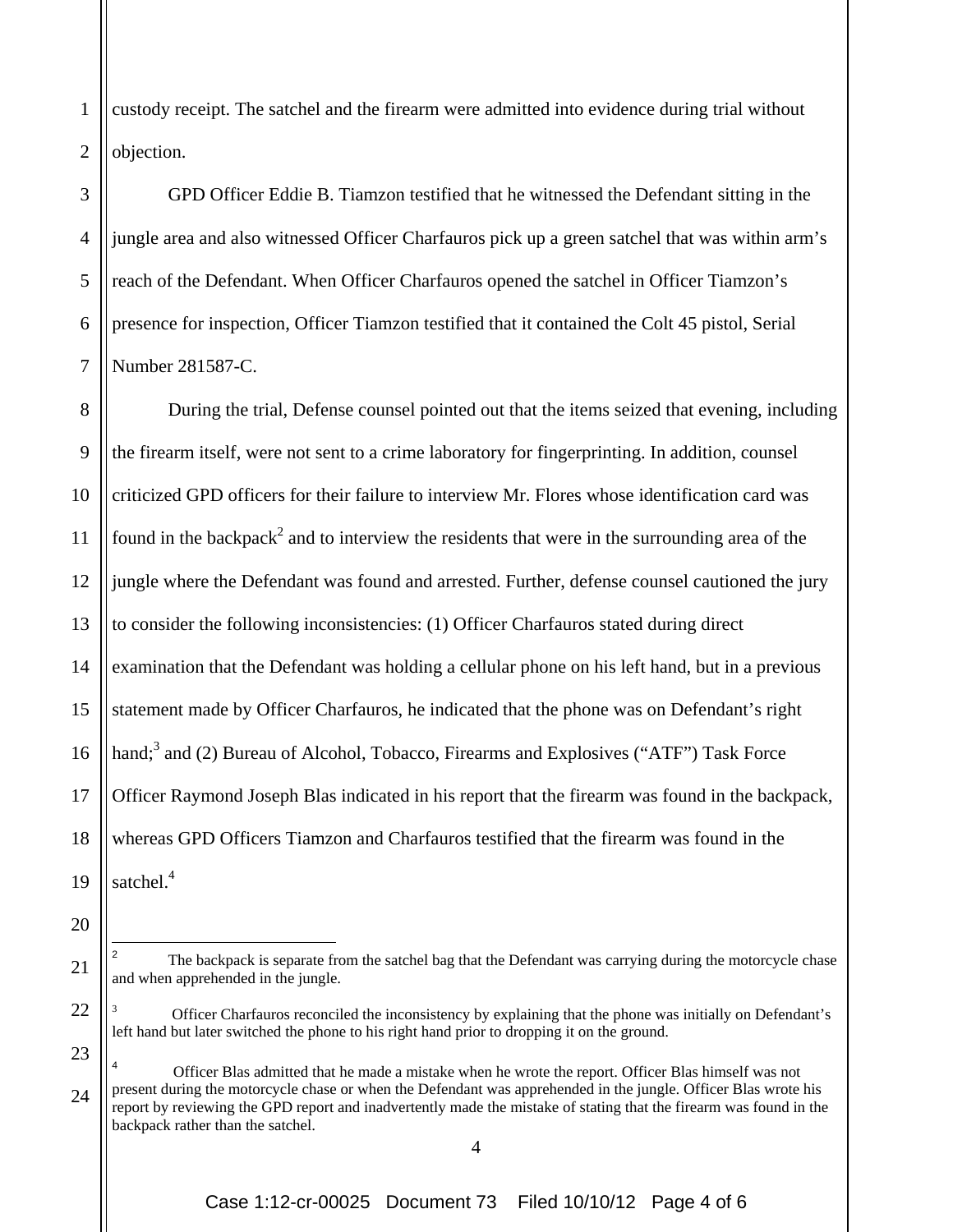2 custody receipt. The satchel and the firearm were admitted into evidence during trial without objection.

6 GPD Officer Eddie B. Tiamzon testified that he witnessed the Defendant sitting in the jungle area and also witnessed Officer Charfauros pick up a green satchel that was within arm's reach of the Defendant. When Officer Charfauros opened the satchel in Officer Tiamzon's presence for inspection, Officer Tiamzon testified that it contained the Colt 45 pistol, Serial Number 281587-C.

8 9 10 11 12 13 14 15 16 17 18 19 During the trial, Defense counsel pointed out that the items seized that evening, including the firearm itself, were not sent to a crime laboratory for fingerprinting. In addition, counsel criticized GPD officers for their failure to interview Mr. Flores whose identification card was found in the backpack<sup>2</sup> and to interview the residents that were in the surrounding area of the jungle where the Defendant was found and arrested. Further, defense counsel cautioned the jury to consider the following inconsistencies: (1) Officer Charfauros stated during direct examination that the Defendant was holding a cellular phone on his left hand, but in a previous statement made by Officer Charfauros, he indicated that the phone was on Defendant's right hand;<sup>3</sup> and (2) Bureau of Alcohol, Tobacco, Firearms and Explosives ("ATF") Task Force Officer Raymond Joseph Blas indicated in his report that the firearm was found in the backpack, whereas GPD Officers Tiamzon and Charfauros testified that the firearm was found in the satchel.<sup>4</sup>

20

1

3

4

5

7

21

 $\overline{a}$ 

22

23

The backpack is separate from the satchel bag that the Defendant was carrying during the motorcycle chase and when apprehended in the jungle.

<sup>3</sup> Officer Charfauros reconciled the inconsistency by explaining that the phone was initially on Defendant's left hand but later switched the phone to his right hand prior to dropping it on the ground.

<sup>24</sup> 4 Officer Blas admitted that he made a mistake when he wrote the report. Officer Blas himself was not present during the motorcycle chase or when the Defendant was apprehended in the jungle. Officer Blas wrote his report by reviewing the GPD report and inadvertently made the mistake of stating that the firearm was found in the backpack rather than the satchel.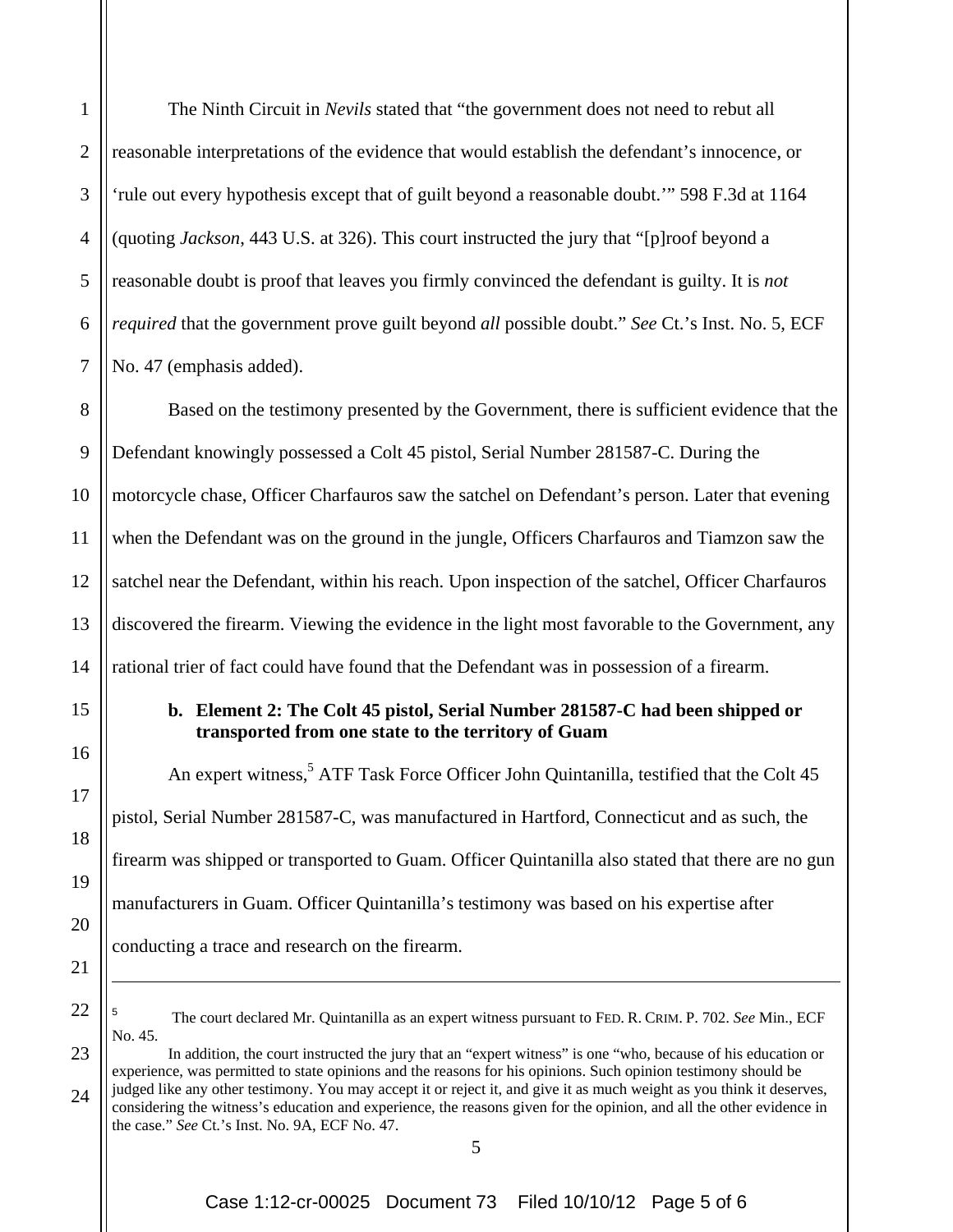1

2

3

4

5

6

7

The Ninth Circuit in *Nevils* stated that "the government does not need to rebut all reasonable interpretations of the evidence that would establish the defendant's innocence, or 'rule out every hypothesis except that of guilt beyond a reasonable doubt.'" 598 F.3d at 1164 (quoting *Jackson*, 443 U.S. at 326). This court instructed the jury that "[p]roof beyond a reasonable doubt is proof that leaves you firmly convinced the defendant is guilty. It is *not required* that the government prove guilt beyond *all* possible doubt." *See* Ct.'s Inst. No. 5, ECF No. 47 (emphasis added).

8 9 10 11 12 13 14 Based on the testimony presented by the Government, there is sufficient evidence that the Defendant knowingly possessed a Colt 45 pistol, Serial Number 281587-C. During the motorcycle chase, Officer Charfauros saw the satchel on Defendant's person. Later that evening when the Defendant was on the ground in the jungle, Officers Charfauros and Tiamzon saw the satchel near the Defendant, within his reach. Upon inspection of the satchel, Officer Charfauros discovered the firearm. Viewing the evidence in the light most favorable to the Government, any rational trier of fact could have found that the Defendant was in possession of a firearm.

> **b. Element 2: The Colt 45 pistol, Serial Number 281587-C had been shipped or transported from one state to the territory of Guam**

An expert witness,<sup>5</sup> ATF Task Force Officer John Quintanilla, testified that the Colt 45 pistol, Serial Number 281587-C, was manufactured in Hartford, Connecticut and as such, the firearm was shipped or transported to Guam. Officer Quintanilla also stated that there are no gun manufacturers in Guam. Officer Quintanilla's testimony was based on his expertise after conducting a trace and research on the firearm.

22

23

24

15

16

17

18

19

20

21

 $\overline{a}$ 

<sup>5</sup> The court declared Mr. Quintanilla as an expert witness pursuant to FED. R. CRIM. P. 702. *See* Min., ECF No. 45.

 In addition, the court instructed the jury that an "expert witness" is one "who, because of his education or experience, was permitted to state opinions and the reasons for his opinions. Such opinion testimony should be judged like any other testimony. You may accept it or reject it, and give it as much weight as you think it deserves, considering the witness's education and experience, the reasons given for the opinion, and all the other evidence in the case." *See* Ct.'s Inst. No. 9A, ECF No. 47.